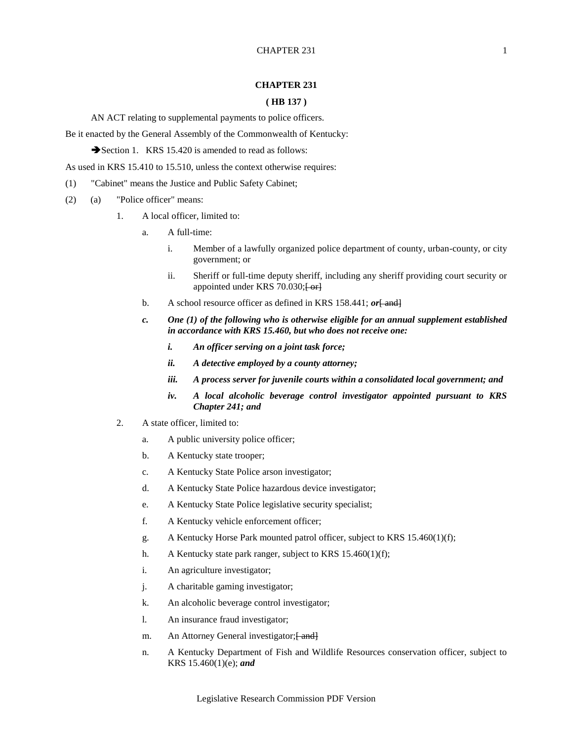## **CHAPTER 231**

## **( HB 137 )**

AN ACT relating to supplemental payments to police officers.

Be it enacted by the General Assembly of the Commonwealth of Kentucky:

Section 1. KRS 15.420 is amended to read as follows:

As used in KRS 15.410 to 15.510, unless the context otherwise requires:

- (1) "Cabinet" means the Justice and Public Safety Cabinet;
- (2) (a) "Police officer" means:
	- 1. A local officer, limited to:
		- a. A full-time:
			- i. Member of a lawfully organized police department of county, urban-county, or city government; or
			- ii. Sheriff or full-time deputy sheriff, including any sheriff providing court security or appointed under KRS 70.030; [ or]
		- b. A school resource officer as defined in KRS 158.441; *or* [ and]
		- *c. One (1) of the following who is otherwise eligible for an annual supplement established in accordance with KRS 15.460, but who does not receive one:*
			- *i. An officer serving on a joint task force;*
			- *ii. A detective employed by a county attorney;*
			- *iii. A process server for juvenile courts within a consolidated local government; and*
			- *iv. A local alcoholic beverage control investigator appointed pursuant to KRS Chapter 241; and*
	- 2. A state officer, limited to:
		- a. A public university police officer;
		- b. A Kentucky state trooper;
		- c. A Kentucky State Police arson investigator;
		- d. A Kentucky State Police hazardous device investigator;
		- e. A Kentucky State Police legislative security specialist;
		- f. A Kentucky vehicle enforcement officer;
		- g. A Kentucky Horse Park mounted patrol officer, subject to KRS 15.460(1)(f);
		- h. A Kentucky state park ranger, subject to KRS 15.460(1)(f);
		- i. An agriculture investigator;
		- j. A charitable gaming investigator;
		- k. An alcoholic beverage control investigator;
		- l. An insurance fraud investigator;
		- m. An Attorney General investigator; [ and ]
		- n. A Kentucky Department of Fish and Wildlife Resources conservation officer, subject to KRS 15.460(1)(e); *and*